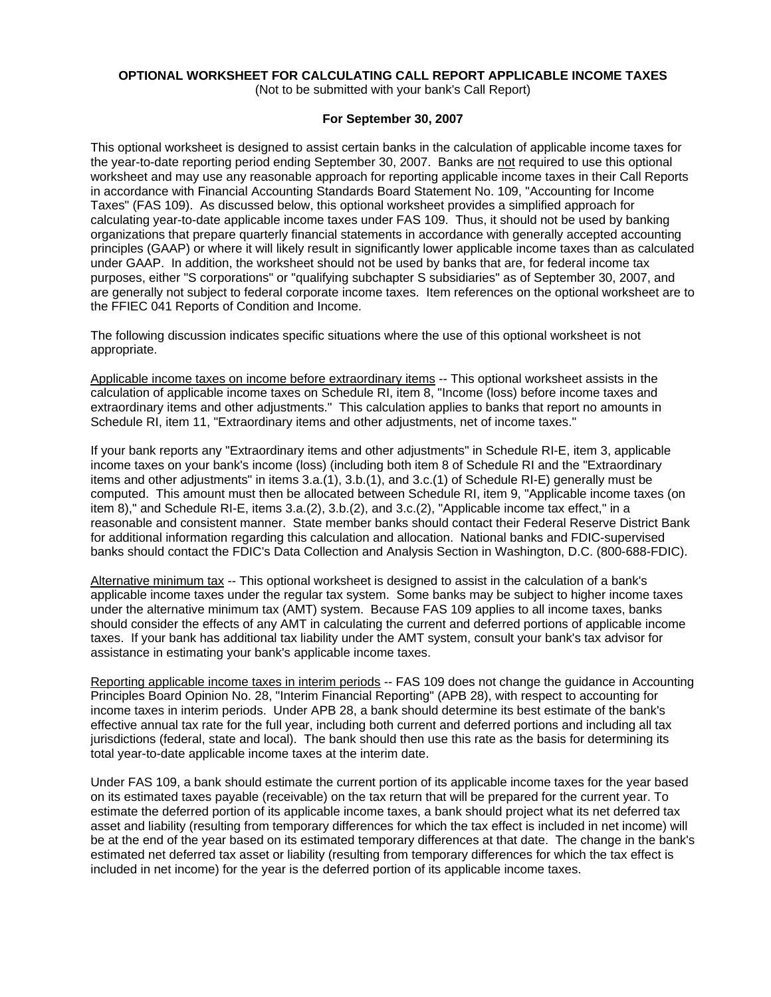# **OPTIONAL WORKSHEET FOR CALCULATING CALL REPORT APPLICABLE INCOME TAXES**

(Not to be submitted with your bank's Call Report)

### **For September 30, 2007**

This optional worksheet is designed to assist certain banks in the calculation of applicable income taxes for the year-to-date reporting period ending September 30, 2007. Banks are not required to use this optional worksheet and may use any reasonable approach for reporting applicable income taxes in their Call Reports in accordance with Financial Accounting Standards Board Statement No. 109, "Accounting for Income Taxes" (FAS 109). As discussed below, this optional worksheet provides a simplified approach for calculating year-to-date applicable income taxes under FAS 109. Thus, it should not be used by banking organizations that prepare quarterly financial statements in accordance with generally accepted accounting principles (GAAP) or where it will likely result in significantly lower applicable income taxes than as calculated under GAAP. In addition, the worksheet should not be used by banks that are, for federal income tax purposes, either "S corporations" or "qualifying subchapter S subsidiaries" as of September 30, 2007, and are generally not subject to federal corporate income taxes. Item references on the optional worksheet are to the FFIEC 041 Reports of Condition and Income.

The following discussion indicates specific situations where the use of this optional worksheet is not appropriate.

Applicable income taxes on income before extraordinary items -- This optional worksheet assists in the calculation of applicable income taxes on Schedule RI, item 8, "Income (loss) before income taxes and extraordinary items and other adjustments." This calculation applies to banks that report no amounts in Schedule RI, item 11, "Extraordinary items and other adjustments, net of income taxes."

If your bank reports any "Extraordinary items and other adjustments" in Schedule RI-E, item 3, applicable income taxes on your bank's income (loss) (including both item 8 of Schedule RI and the "Extraordinary items and other adjustments" in items 3.a.(1), 3.b.(1), and 3.c.(1) of Schedule RI-E) generally must be computed. This amount must then be allocated between Schedule RI, item 9, "Applicable income taxes (on item 8)," and Schedule RI-E, items 3.a.(2), 3.b.(2), and 3.c.(2), "Applicable income tax effect," in a reasonable and consistent manner. State member banks should contact their Federal Reserve District Bank for additional information regarding this calculation and allocation. National banks and FDIC-supervised banks should contact the FDIC's Data Collection and Analysis Section in Washington, D.C. (800-688-FDIC).

Alternative minimum tax -- This optional worksheet is designed to assist in the calculation of a bank's applicable income taxes under the regular tax system. Some banks may be subject to higher income taxes under the alternative minimum tax (AMT) system. Because FAS 109 applies to all income taxes, banks should consider the effects of any AMT in calculating the current and deferred portions of applicable income taxes. If your bank has additional tax liability under the AMT system, consult your bank's tax advisor for assistance in estimating your bank's applicable income taxes.

Reporting applicable income taxes in interim periods -- FAS 109 does not change the guidance in Accounting Principles Board Opinion No. 28, "Interim Financial Reporting" (APB 28), with respect to accounting for income taxes in interim periods. Under APB 28, a bank should determine its best estimate of the bank's effective annual tax rate for the full year, including both current and deferred portions and including all tax jurisdictions (federal, state and local). The bank should then use this rate as the basis for determining its total year-to-date applicable income taxes at the interim date.

Under FAS 109, a bank should estimate the current portion of its applicable income taxes for the year based on its estimated taxes payable (receivable) on the tax return that will be prepared for the current year. To estimate the deferred portion of its applicable income taxes, a bank should project what its net deferred tax asset and liability (resulting from temporary differences for which the tax effect is included in net income) will be at the end of the year based on its estimated temporary differences at that date. The change in the bank's estimated net deferred tax asset or liability (resulting from temporary differences for which the tax effect is included in net income) for the year is the deferred portion of its applicable income taxes.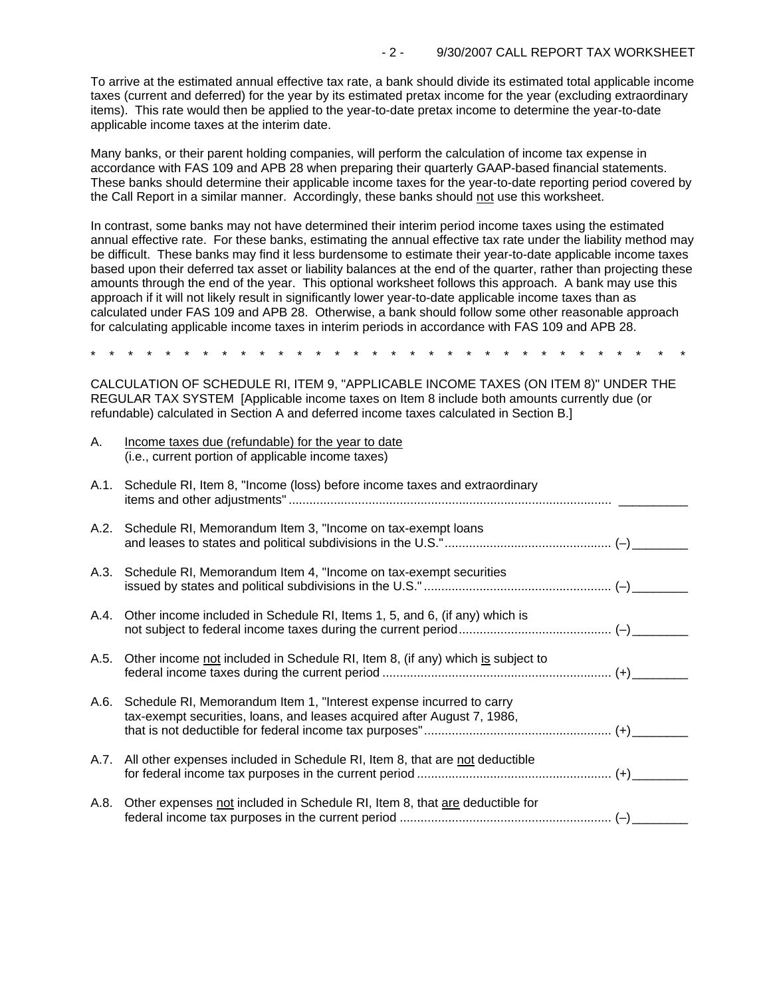To arrive at the estimated annual effective tax rate, a bank should divide its estimated total applicable income taxes (current and deferred) for the year by its estimated pretax income for the year (excluding extraordinary items). This rate would then be applied to the year-to-date pretax income to determine the year-to-date applicable income taxes at the interim date.

Many banks, or their parent holding companies, will perform the calculation of income tax expense in accordance with FAS 109 and APB 28 when preparing their quarterly GAAP-based financial statements. These banks should determine their applicable income taxes for the year-to-date reporting period covered by the Call Report in a similar manner. Accordingly, these banks should not use this worksheet.

In contrast, some banks may not have determined their interim period income taxes using the estimated annual effective rate. For these banks, estimating the annual effective tax rate under the liability method may be difficult. These banks may find it less burdensome to estimate their year-to-date applicable income taxes based upon their deferred tax asset or liability balances at the end of the quarter, rather than projecting these amounts through the end of the year. This optional worksheet follows this approach. A bank may use this approach if it will not likely result in significantly lower year-to-date applicable income taxes than as calculated under FAS 109 and APB 28. Otherwise, a bank should follow some other reasonable approach for calculating applicable income taxes in interim periods in accordance with FAS 109 and APB 28.

\* \* \* \* \* \* \* \* \* \* \* \* \* \* \* \* \* \* \* \* \* \* \* \* \* \* \* \* \* \* \* \*

CALCULATION OF SCHEDULE RI, ITEM 9, "APPLICABLE INCOME TAXES (ON ITEM 8)" UNDER THE REGULAR TAX SYSTEM [Applicable income taxes on Item 8 include both amounts currently due (or refundable) calculated in Section A and deferred income taxes calculated in Section B.]

A. Income taxes due (refundable) for the year to date

| $\mathbf{r}$ | modific taxes due (forumaable) for the year to date<br>(i.e., current portion of applicable income taxes)                                           |  |
|--------------|-----------------------------------------------------------------------------------------------------------------------------------------------------|--|
|              | A.1. Schedule RI, Item 8, "Income (loss) before income taxes and extraordinary                                                                      |  |
|              | A.2. Schedule RI, Memorandum Item 3, "Income on tax-exempt loans                                                                                    |  |
|              | A.3. Schedule RI, Memorandum Item 4, "Income on tax-exempt securities                                                                               |  |
|              | A.4. Other income included in Schedule RI, Items 1, 5, and 6, (if any) which is                                                                     |  |
| A.5.         | Other income not included in Schedule RI, Item 8, (if any) which is subject to                                                                      |  |
|              | A.6. Schedule RI, Memorandum Item 1, "Interest expense incurred to carry<br>tax-exempt securities, loans, and leases acquired after August 7, 1986, |  |
|              | A.7. All other expenses included in Schedule RI, Item 8, that are not deductible                                                                    |  |
| A.8.         | Other expenses not included in Schedule RI, Item 8, that are deductible for                                                                         |  |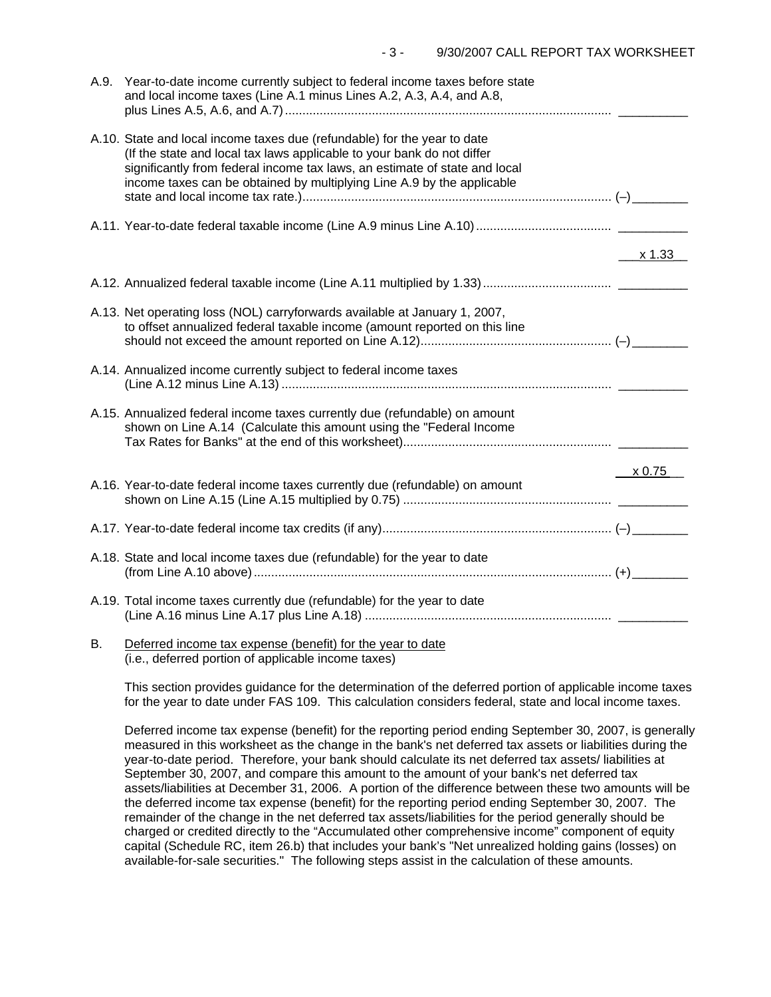| A.9. | Year-to-date income currently subject to federal income taxes before state<br>and local income taxes (Line A.1 minus Lines A.2, A.3, A.4, and A.8,                                                                                                                                                         |               |
|------|------------------------------------------------------------------------------------------------------------------------------------------------------------------------------------------------------------------------------------------------------------------------------------------------------------|---------------|
|      | A.10. State and local income taxes due (refundable) for the year to date<br>(If the state and local tax laws applicable to your bank do not differ<br>significantly from federal income tax laws, an estimate of state and local<br>income taxes can be obtained by multiplying Line A.9 by the applicable |               |
|      |                                                                                                                                                                                                                                                                                                            |               |
|      |                                                                                                                                                                                                                                                                                                            | x 1.33        |
|      |                                                                                                                                                                                                                                                                                                            |               |
|      | A.13. Net operating loss (NOL) carryforwards available at January 1, 2007,<br>to offset annualized federal taxable income (amount reported on this line                                                                                                                                                    |               |
|      | A.14. Annualized income currently subject to federal income taxes                                                                                                                                                                                                                                          |               |
|      | A.15. Annualized federal income taxes currently due (refundable) on amount<br>shown on Line A.14 (Calculate this amount using the "Federal Income                                                                                                                                                          |               |
|      | A.16. Year-to-date federal income taxes currently due (refundable) on amount                                                                                                                                                                                                                               | $\times 0.75$ |
|      |                                                                                                                                                                                                                                                                                                            |               |
|      |                                                                                                                                                                                                                                                                                                            |               |
|      | A.18. State and local income taxes due (refundable) for the year to date                                                                                                                                                                                                                                   |               |
|      | A.19. Total income taxes currently due (refundable) for the year to date                                                                                                                                                                                                                                   |               |
|      | D Deferred income toy expanse (benefit) for the year to date                                                                                                                                                                                                                                               |               |

B. <u>Deferred income tax expense (benefit) for the year to date</u> (i.e., deferred portion of applicable income taxes)

This section provides guidance for the determination of the deferred portion of applicable income taxes for the year to date under FAS 109. This calculation considers federal, state and local income taxes.

Deferred income tax expense (benefit) for the reporting period ending September 30, 2007, is generally measured in this worksheet as the change in the bank's net deferred tax assets or liabilities during the year-to-date period. Therefore, your bank should calculate its net deferred tax assets/ liabilities at September 30, 2007, and compare this amount to the amount of your bank's net deferred tax assets/liabilities at December 31, 2006. A portion of the difference between these two amounts will be the deferred income tax expense (benefit) for the reporting period ending September 30, 2007. The remainder of the change in the net deferred tax assets/liabilities for the period generally should be charged or credited directly to the "Accumulated other comprehensive income" component of equity capital (Schedule RC, item 26.b) that includes your bank's "Net unrealized holding gains (losses) on available-for-sale securities." The following steps assist in the calculation of these amounts.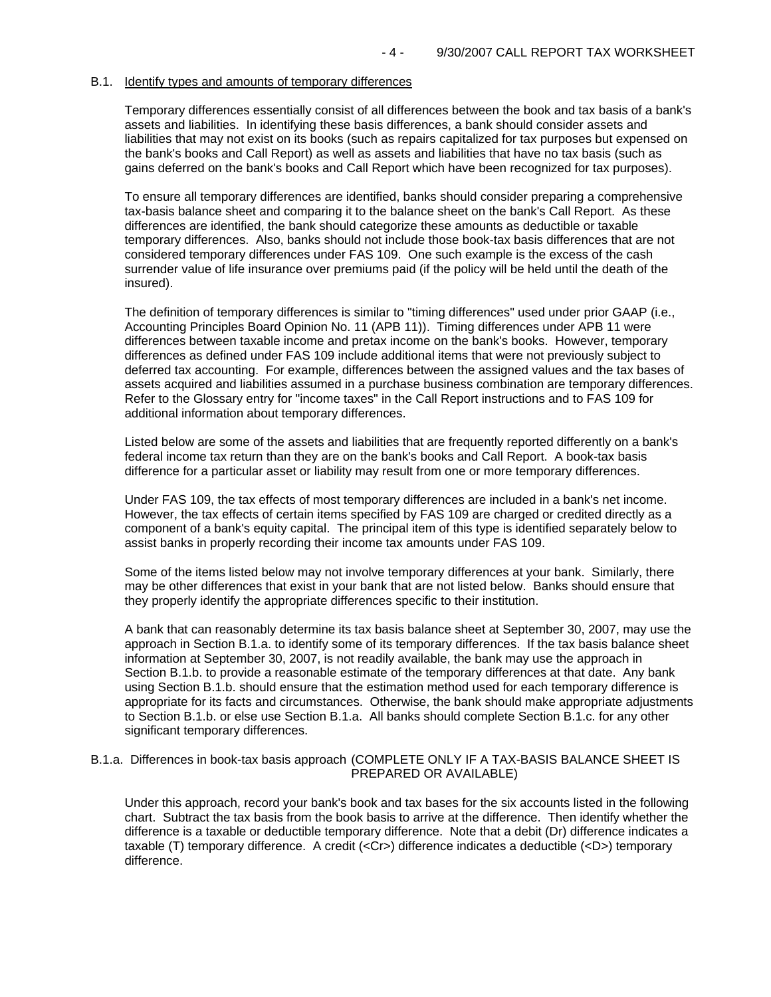#### B.1. Identify types and amounts of temporary differences

Temporary differences essentially consist of all differences between the book and tax basis of a bank's assets and liabilities. In identifying these basis differences, a bank should consider assets and liabilities that may not exist on its books (such as repairs capitalized for tax purposes but expensed on the bank's books and Call Report) as well as assets and liabilities that have no tax basis (such as gains deferred on the bank's books and Call Report which have been recognized for tax purposes).

To ensure all temporary differences are identified, banks should consider preparing a comprehensive tax-basis balance sheet and comparing it to the balance sheet on the bank's Call Report. As these differences are identified, the bank should categorize these amounts as deductible or taxable temporary differences. Also, banks should not include those book-tax basis differences that are not considered temporary differences under FAS 109. One such example is the excess of the cash surrender value of life insurance over premiums paid (if the policy will be held until the death of the insured).

The definition of temporary differences is similar to "timing differences" used under prior GAAP (i.e., Accounting Principles Board Opinion No. 11 (APB 11)). Timing differences under APB 11 were differences between taxable income and pretax income on the bank's books. However, temporary differences as defined under FAS 109 include additional items that were not previously subject to deferred tax accounting. For example, differences between the assigned values and the tax bases of assets acquired and liabilities assumed in a purchase business combination are temporary differences. Refer to the Glossary entry for "income taxes" in the Call Report instructions and to FAS 109 for additional information about temporary differences.

Listed below are some of the assets and liabilities that are frequently reported differently on a bank's federal income tax return than they are on the bank's books and Call Report. A book-tax basis difference for a particular asset or liability may result from one or more temporary differences.

Under FAS 109, the tax effects of most temporary differences are included in a bank's net income. However, the tax effects of certain items specified by FAS 109 are charged or credited directly as a component of a bank's equity capital. The principal item of this type is identified separately below to assist banks in properly recording their income tax amounts under FAS 109.

Some of the items listed below may not involve temporary differences at your bank. Similarly, there may be other differences that exist in your bank that are not listed below. Banks should ensure that they properly identify the appropriate differences specific to their institution.

A bank that can reasonably determine its tax basis balance sheet at September 30, 2007, may use the approach in Section B.1.a. to identify some of its temporary differences. If the tax basis balance sheet information at September 30, 2007, is not readily available, the bank may use the approach in Section B.1.b. to provide a reasonable estimate of the temporary differences at that date. Any bank using Section B.1.b. should ensure that the estimation method used for each temporary difference is appropriate for its facts and circumstances. Otherwise, the bank should make appropriate adjustments to Section B.1.b. or else use Section B.1.a. All banks should complete Section B.1.c. for any other significant temporary differences.

#### B.1.a. Differences in book-tax basis approach (COMPLETE ONLY IF A TAX-BASIS BALANCE SHEET IS PREPARED OR AVAILABLE)

Under this approach, record your bank's book and tax bases for the six accounts listed in the following chart. Subtract the tax basis from the book basis to arrive at the difference. Then identify whether the difference is a taxable or deductible temporary difference. Note that a debit (Dr) difference indicates a taxable (T) temporary difference. A credit (<Cr>) difference indicates a deductible (<D>) temporary difference.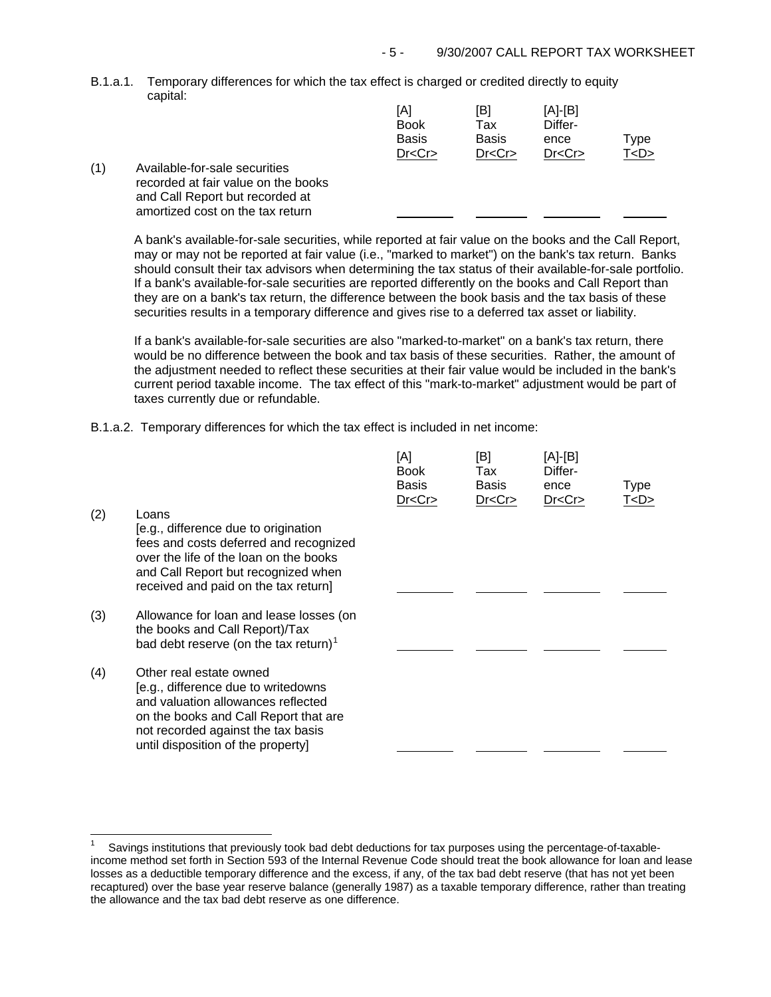B.1.a.1. Temporary differences for which the tax effect is charged or credited directly to equity capital:

|     |                                     | [A]          | [B]          | $[A]-[B]$ |           |
|-----|-------------------------------------|--------------|--------------|-----------|-----------|
|     |                                     | <b>Book</b>  | Tax          | Differ-   |           |
|     |                                     | <b>Basis</b> | <b>Basis</b> | ence      | Type      |
|     |                                     | Dr < Cr      | Dr < Cr      | Dr < Cr   | T <d></d> |
| (1) | Available-for-sale securities       |              |              |           |           |
|     | recorded at fair value on the books |              |              |           |           |
|     | and Call Report but recorded at     |              |              |           |           |
|     | amortized cost on the tax return    |              |              |           |           |

A bank's available-for-sale securities, while reported at fair value on the books and the Call Report, may or may not be reported at fair value (i.e., "marked to market") on the bank's tax return. Banks should consult their tax advisors when determining the tax status of their available-for-sale portfolio. If a bank's available-for-sale securities are reported differently on the books and Call Report than they are on a bank's tax return, the difference between the book basis and the tax basis of these securities results in a temporary difference and gives rise to a deferred tax asset or liability.

If a bank's available-for-sale securities are also "marked-to-market" on a bank's tax return, there would be no difference between the book and tax basis of these securities. Rather, the amount of the adjustment needed to reflect these securities at their fair value would be included in the bank's current period taxable income. The tax effect of this "mark-to-market" adjustment would be part of taxes currently due or refundable.

 $\overline{A}$ 

B.1.a.2. Temporary differences for which the tax effect is included in net income:

j.

| (2) | Loans                                                                                                                                                                                                                     | [A]<br><b>Book</b><br>Basis<br>Dr < Cr | [B]<br>Tax<br>Basis<br>Dr < Cr | $[A]-[B]$<br>Differ-<br>ence<br>Dr < Cr | <b>Type</b><br>T <d></d> |
|-----|---------------------------------------------------------------------------------------------------------------------------------------------------------------------------------------------------------------------------|----------------------------------------|--------------------------------|-----------------------------------------|--------------------------|
|     | [e.g., difference due to origination<br>fees and costs deferred and recognized<br>over the life of the loan on the books<br>and Call Report but recognized when<br>received and paid on the tax return]                   |                                        |                                |                                         |                          |
| (3) | Allowance for loan and lease losses (on<br>the books and Call Report)/Tax<br>bad debt reserve (on the tax return) <sup>1</sup>                                                                                            |                                        |                                |                                         |                          |
| (4) | Other real estate owned<br>[e.g., difference due to writedowns<br>and valuation allowances reflected<br>on the books and Call Report that are<br>not recorded against the tax basis<br>until disposition of the property] |                                        |                                |                                         |                          |
|     |                                                                                                                                                                                                                           |                                        |                                |                                         |                          |

<span id="page-4-0"></span><sup>1</sup> Savings institutions that previously took bad debt deductions for tax purposes using the percentage-of-taxableincome method set forth in Section 593 of the Internal Revenue Code should treat the book allowance for loan and lease losses as a deductible temporary difference and the excess, if any, of the tax bad debt reserve (that has not yet been recaptured) over the base year reserve balance (generally 1987) as a taxable temporary difference, rather than treating the allowance and the tax bad debt reserve as one difference.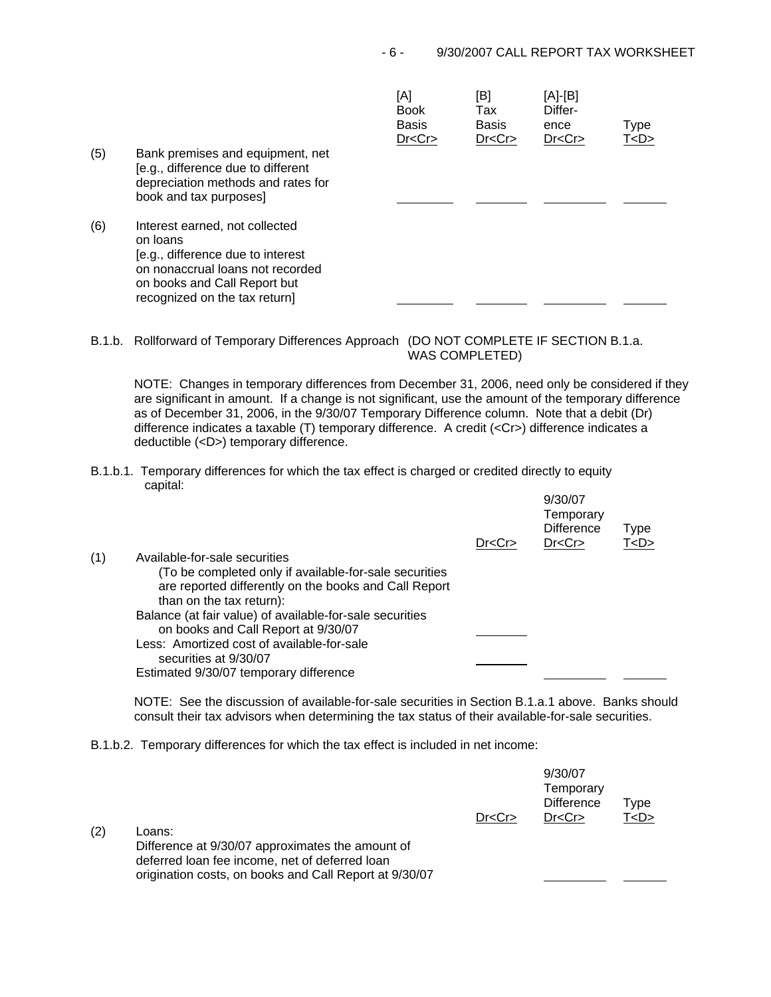| (5) | Bank premises and equipment, net<br>[e.g., difference due to different                                                                                                               | [A]<br><b>Book</b><br><b>Basis</b><br>Dr < Cr | [B]<br>Tax<br><b>Basis</b><br>Dr < Cr | [A]-[B]<br>Differ-<br>ence<br>Dr < Cr | Type<br>T < D > |
|-----|--------------------------------------------------------------------------------------------------------------------------------------------------------------------------------------|-----------------------------------------------|---------------------------------------|---------------------------------------|-----------------|
|     | depreciation methods and rates for<br>book and tax purposes]                                                                                                                         |                                               |                                       |                                       |                 |
| (6) | Interest earned, not collected<br>on loans<br>[e.g., difference due to interest<br>on nonaccrual loans not recorded<br>on books and Call Report but<br>recognized on the tax return] |                                               |                                       |                                       |                 |

B.1.b. Rollforward of Temporary Differences Approach (DO NOT COMPLETE IF SECTION B.1.a. WAS COMPLETED)

NOTE: Changes in temporary differences from December 31, 2006, need only be considered if they are significant in amount. If a change is not significant, use the amount of the temporary difference as of December 31, 2006, in the 9/30/07 Temporary Difference column. Note that a debit (Dr) difference indicates a taxable (T) temporary difference. A credit (<Cr>) difference indicates a deductible (<D>) temporary difference.

B.1.b.1. Temporary differences for which the tax effect is charged or credited directly to equity capital:

|     |                                                                                                                                             | Dr < Cr | 9/30/07<br>Temporary<br><b>Difference</b><br>Dr < Cr | Type<br>T < D > |
|-----|---------------------------------------------------------------------------------------------------------------------------------------------|---------|------------------------------------------------------|-----------------|
| (1) | Available-for-sale securities                                                                                                               |         |                                                      |                 |
|     | (To be completed only if available-for-sale securities<br>are reported differently on the books and Call Report<br>than on the tax return): |         |                                                      |                 |
|     | Balance (at fair value) of available-for-sale securities<br>on books and Call Report at 9/30/07                                             |         |                                                      |                 |
|     | Less: Amortized cost of available-for-sale<br>securities at 9/30/07                                                                         |         |                                                      |                 |
|     | Estimated 9/30/07 temporary difference                                                                                                      |         |                                                      |                 |

NOTE: See the discussion of available-for-sale securities in Section B.1.a.1 above. Banks should consult their tax advisors when determining the tax status of their available-for-sale securities.

B.1.b.2. Temporary differences for which the tax effect is included in net income:

| (2) | Loans:<br>Difference at 9/30/07 approximates the amount of<br>deferred loan fee income, net of deferred loan | Dr < Cr | 9/30/07<br>Temporary<br><b>Difference</b><br>Dr < Cr | Type<br>T <d></d> |
|-----|--------------------------------------------------------------------------------------------------------------|---------|------------------------------------------------------|-------------------|
|     | origination costs, on books and Call Report at 9/30/07                                                       |         |                                                      |                   |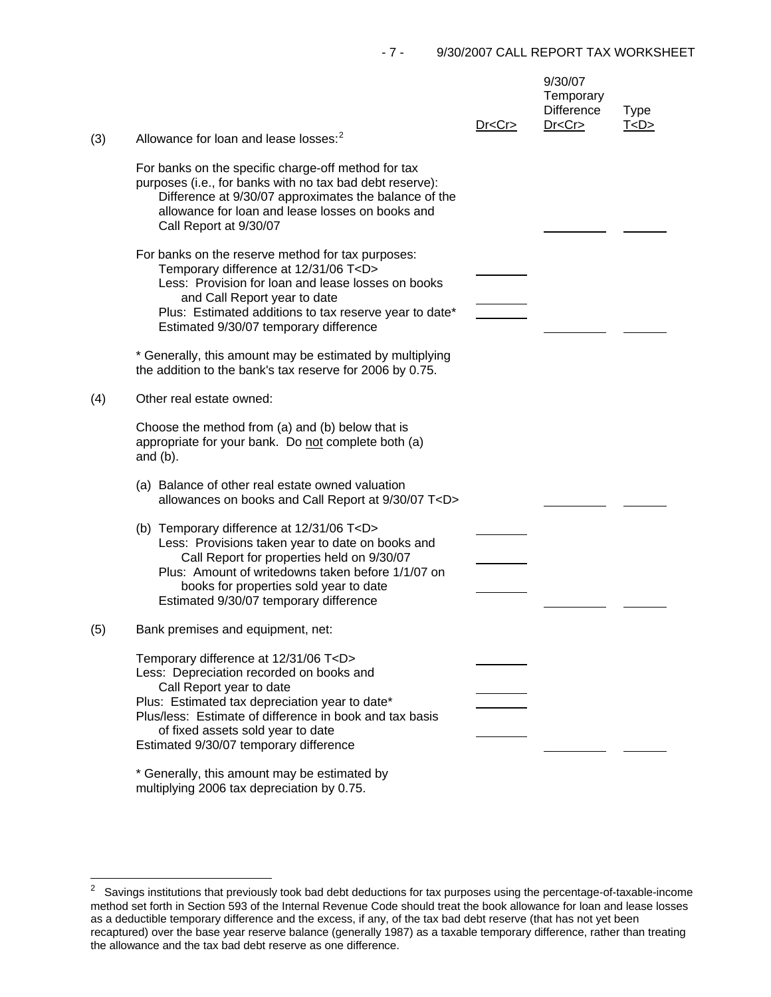| (3) | Allowance for loan and lease losses: <sup>2</sup>                                                                                                                                                                                                                                                                    | Dr < Cr | 9/30/07<br>Temporary<br><b>Difference</b><br>Dr < Cr | <b>Type</b><br><u>T<d></d></u> |
|-----|----------------------------------------------------------------------------------------------------------------------------------------------------------------------------------------------------------------------------------------------------------------------------------------------------------------------|---------|------------------------------------------------------|--------------------------------|
|     | For banks on the specific charge-off method for tax<br>purposes (i.e., for banks with no tax bad debt reserve):<br>Difference at 9/30/07 approximates the balance of the<br>allowance for loan and lease losses on books and<br>Call Report at 9/30/07                                                               |         |                                                      |                                |
|     | For banks on the reserve method for tax purposes:<br>Temporary difference at 12/31/06 T <d><br/>Less: Provision for loan and lease losses on books<br/>and Call Report year to date<br/>Plus: Estimated additions to tax reserve year to date*<br/>Estimated 9/30/07 temporary difference</d>                        |         |                                                      |                                |
|     | * Generally, this amount may be estimated by multiplying<br>the addition to the bank's tax reserve for 2006 by 0.75.                                                                                                                                                                                                 |         |                                                      |                                |
| (4) | Other real estate owned:                                                                                                                                                                                                                                                                                             |         |                                                      |                                |
|     | Choose the method from (a) and (b) below that is<br>appropriate for your bank. Do not complete both (a)<br>and $(b)$ .                                                                                                                                                                                               |         |                                                      |                                |
|     | (a) Balance of other real estate owned valuation<br>allowances on books and Call Report at 9/30/07 T <d></d>                                                                                                                                                                                                         |         |                                                      |                                |
|     | (b) Temporary difference at 12/31/06 T <d><br/>Less: Provisions taken year to date on books and<br/>Call Report for properties held on 9/30/07<br/>Plus: Amount of writedowns taken before 1/1/07 on<br/>books for properties sold year to date<br/>Estimated 9/30/07 temporary difference</d>                       |         |                                                      |                                |
| (5) | Bank premises and equipment, net:                                                                                                                                                                                                                                                                                    |         |                                                      |                                |
|     | Temporary difference at 12/31/06 T <d><br/>Less: Depreciation recorded on books and<br/>Call Report year to date<br/>Plus: Estimated tax depreciation year to date*<br/>Plus/less: Estimate of difference in book and tax basis<br/>of fixed assets sold year to date<br/>Estimated 9/30/07 temporary difference</d> |         |                                                      |                                |
|     | * Generally, this amount may be estimated by                                                                                                                                                                                                                                                                         |         |                                                      |                                |

multiplying 2006 tax depreciation by 0.75.

<span id="page-6-0"></span> $\overline{\mathbf{c}}$ 2 Savings institutions that previously took bad debt deductions for tax purposes using the percentage-of-taxable-income method set forth in Section 593 of the Internal Revenue Code should treat the book allowance for loan and lease losses as a deductible temporary difference and the excess, if any, of the tax bad debt reserve (that has not yet been recaptured) over the base year reserve balance (generally 1987) as a taxable temporary difference, rather than treating the allowance and the tax bad debt reserve as one difference.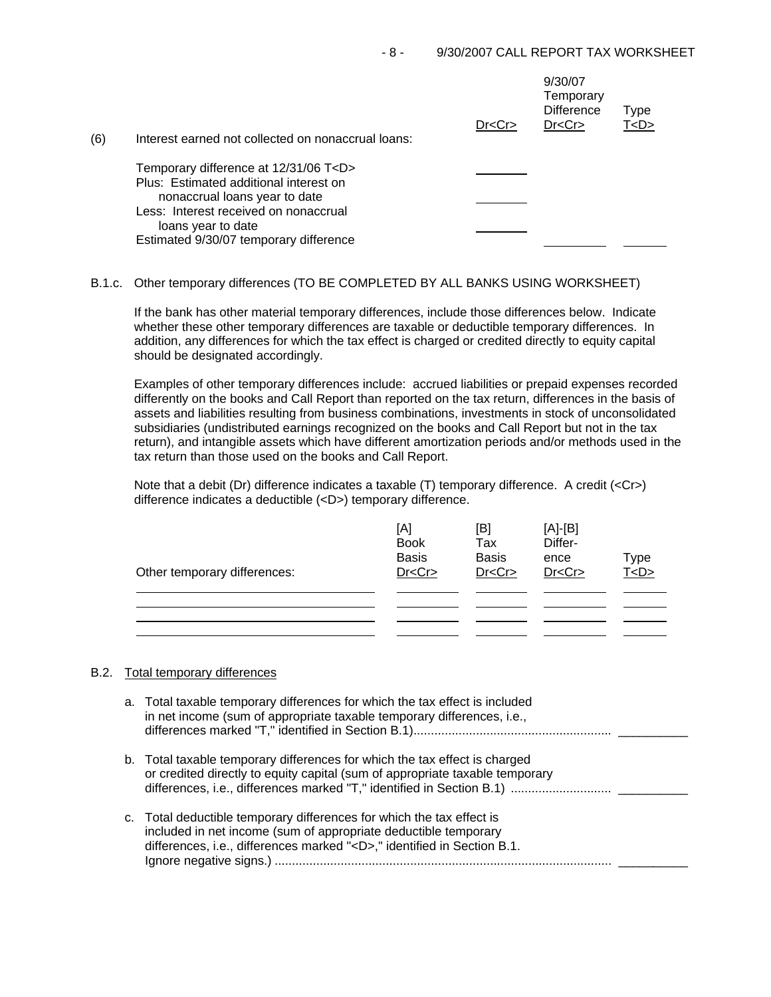| (6) | Interest earned not collected on nonaccrual loans:                      | Dr < Cr | 9/30/07<br>Temporary<br><b>Difference</b><br>Dr < Cr | Type<br>T <d></d> |
|-----|-------------------------------------------------------------------------|---------|------------------------------------------------------|-------------------|
|     | Temporary difference at 12/31/06 T <d></d>                              |         |                                                      |                   |
|     | Plus: Estimated additional interest on<br>nonaccrual loans year to date |         |                                                      |                   |
|     | Less: Interest received on nonaccrual                                   |         |                                                      |                   |
|     | loans year to date<br>Estimated 9/30/07 temporary difference            |         |                                                      |                   |

## B.1.c. Other temporary differences (TO BE COMPLETED BY ALL BANKS USING WORKSHEET)

If the bank has other material temporary differences, include those differences below. Indicate whether these other temporary differences are taxable or deductible temporary differences. In addition, any differences for which the tax effect is charged or credited directly to equity capital should be designated accordingly.

Examples of other temporary differences include: accrued liabilities or prepaid expenses recorded differently on the books and Call Report than reported on the tax return, differences in the basis of assets and liabilities resulting from business combinations, investments in stock of unconsolidated subsidiaries (undistributed earnings recognized on the books and Call Report but not in the tax return), and intangible assets which have different amortization periods and/or methods used in the tax return than those used on the books and Call Report.

Note that a debit (Dr) difference indicates a taxable (T) temporary difference. A credit (<Cr>) difference indicates a deductible (<D>) temporary difference.

| Other temporary differences: | [A]<br><b>Book</b><br><b>Basis</b><br>Dr < Cr | [B]<br>Tax<br><b>Basis</b><br>Dr < Cr | $[A]-[B]$<br>Differ-<br>ence<br>Dr < Cr | Type<br>T <sub>CD</sub> |
|------------------------------|-----------------------------------------------|---------------------------------------|-----------------------------------------|-------------------------|
|                              |                                               |                                       |                                         |                         |
|                              |                                               |                                       |                                         |                         |

### B.2. Total temporary differences

| a. Total taxable temporary differences for which the tax effect is included<br>in net income (sum of appropriate taxable temporary differences, i.e.,                                                                    |
|--------------------------------------------------------------------------------------------------------------------------------------------------------------------------------------------------------------------------|
| b. Total taxable temporary differences for which the tax effect is charged<br>or credited directly to equity capital (sum of appropriate taxable temporary                                                               |
| c. Total deductible temporary differences for which the tax effect is<br>included in net income (sum of appropriate deductible temporary<br>differences, i.e., differences marked " <d>," identified in Section B.1.</d> |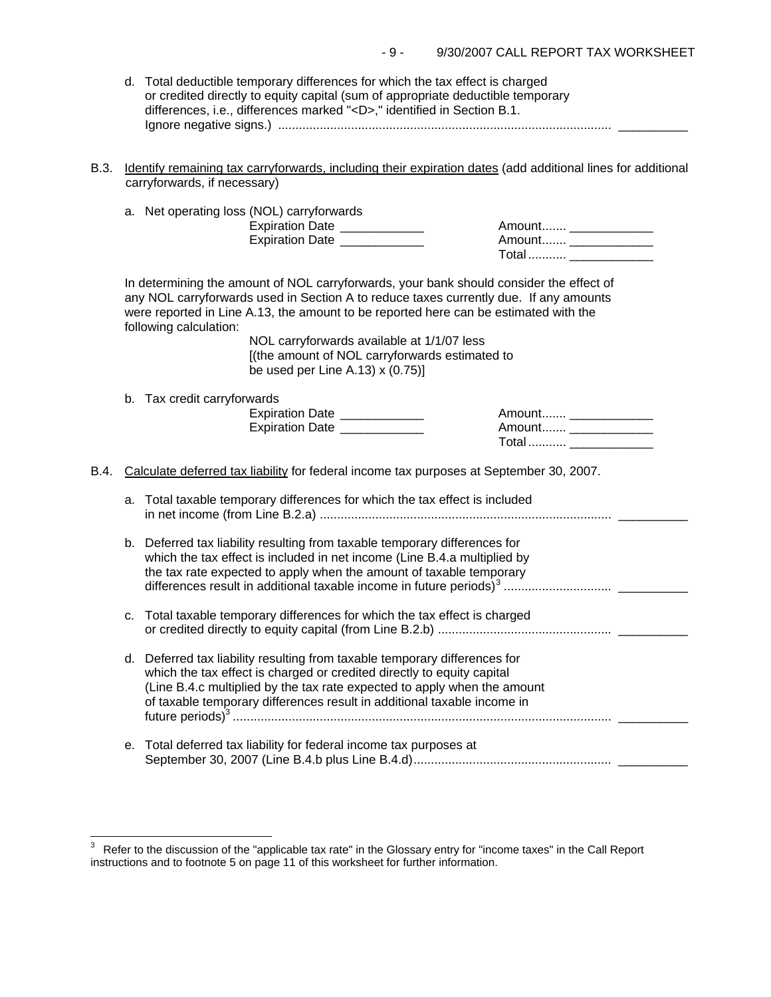| d. Total deductible temporary differences for which the tax effect is charged   |  |
|---------------------------------------------------------------------------------|--|
| or credited directly to equity capital (sum of appropriate deductible temporary |  |
| differences, i.e., differences marked " <d>," identified in Section B.1.</d>    |  |
|                                                                                 |  |

B.3. Identify remaining tax carryforwards, including their expiration dates (add additional lines for additional carryforwards, if necessary)

|      |    | a. Net operating loss (NOL) carryforwards<br>Expiration Date ____________<br>Expiration Date _____________                                                                                                                                                                                                                                                                                                                                    | Amount __________<br>Total  ______________     |  |
|------|----|-----------------------------------------------------------------------------------------------------------------------------------------------------------------------------------------------------------------------------------------------------------------------------------------------------------------------------------------------------------------------------------------------------------------------------------------------|------------------------------------------------|--|
|      |    | In determining the amount of NOL carryforwards, your bank should consider the effect of<br>any NOL carryforwards used in Section A to reduce taxes currently due. If any amounts<br>were reported in Line A.13, the amount to be reported here can be estimated with the<br>following calculation:<br>NOL carryforwards available at 1/1/07 less<br>[(the amount of NOL carryforwards estimated to<br>be used per Line A.13) $\times$ (0.75)] |                                                |  |
|      |    | b. Tax credit carryforwards<br>Expiration Date ____________<br>Expiration Date ____________                                                                                                                                                                                                                                                                                                                                                   | Amount _____________<br>Amount _______________ |  |
| B.4. |    | Calculate deferred tax liability for federal income tax purposes at September 30, 2007.                                                                                                                                                                                                                                                                                                                                                       |                                                |  |
|      | a. | Total taxable temporary differences for which the tax effect is included                                                                                                                                                                                                                                                                                                                                                                      |                                                |  |
|      |    | b. Deferred tax liability resulting from taxable temporary differences for<br>which the tax effect is included in net income (Line B.4.a multiplied by<br>the tax rate expected to apply when the amount of taxable temporary                                                                                                                                                                                                                 |                                                |  |
|      | c. | Total taxable temporary differences for which the tax effect is charged                                                                                                                                                                                                                                                                                                                                                                       |                                                |  |
|      |    | d. Deferred tax liability resulting from taxable temporary differences for<br>which the tax effect is charged or credited directly to equity capital<br>(Line B.4.c multiplied by the tax rate expected to apply when the amount<br>of taxable temporary differences result in additional taxable income in                                                                                                                                   |                                                |  |
|      | е. | Total deferred tax liability for federal income tax purposes at                                                                                                                                                                                                                                                                                                                                                                               |                                                |  |
|      |    |                                                                                                                                                                                                                                                                                                                                                                                                                                               |                                                |  |

 $\overline{a}$ 

<span id="page-8-0"></span> $3$  Refer to the discussion of the "applicable tax rate" in the Glossary entry for "income taxes" in the Call Report instructions and to footnote 5 on page 11 of this worksheet for further information.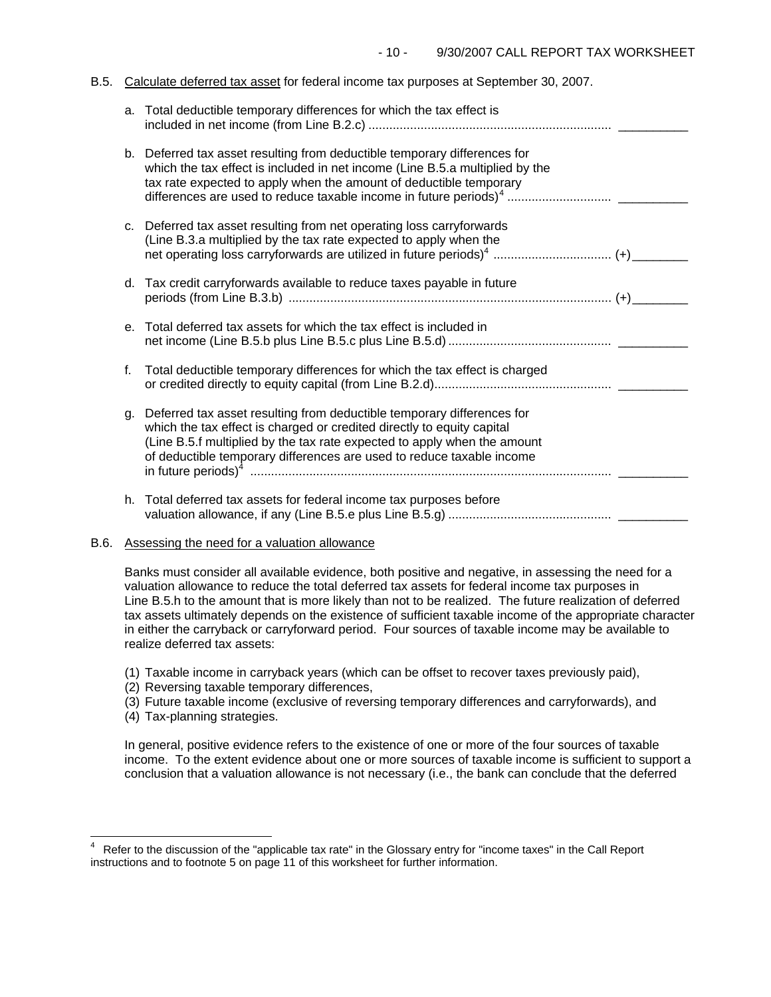#### B.5. Calculate deferred tax asset for federal income tax purposes at September 30, 2007.

|    | a. Total deductible temporary differences for which the tax effect is                                                                                                                                                                                                                                 |  |
|----|-------------------------------------------------------------------------------------------------------------------------------------------------------------------------------------------------------------------------------------------------------------------------------------------------------|--|
|    | b. Deferred tax asset resulting from deductible temporary differences for<br>which the tax effect is included in net income (Line B.5.a multiplied by the<br>tax rate expected to apply when the amount of deductible temporary                                                                       |  |
|    | c. Deferred tax asset resulting from net operating loss carryforwards<br>(Line B.3.a multiplied by the tax rate expected to apply when the                                                                                                                                                            |  |
|    | d. Tax credit carryforwards available to reduce taxes payable in future                                                                                                                                                                                                                               |  |
| е. | Total deferred tax assets for which the tax effect is included in                                                                                                                                                                                                                                     |  |
| f. | Total deductible temporary differences for which the tax effect is charged                                                                                                                                                                                                                            |  |
| g. | Deferred tax asset resulting from deductible temporary differences for<br>which the tax effect is charged or credited directly to equity capital<br>(Line B.5.f multiplied by the tax rate expected to apply when the amount<br>of deductible temporary differences are used to reduce taxable income |  |
|    | h. Total deferred tax assets for federal income tax purposes before                                                                                                                                                                                                                                   |  |

### B.6. Assessing the need for a valuation allowance

Banks must consider all available evidence, both positive and negative, in assessing the need for a valuation allowance to reduce the total deferred tax assets for federal income tax purposes in Line B.5.h to the amount that is more likely than not to be realized. The future realization of deferred tax assets ultimately depends on the existence of sufficient taxable income of the appropriate character in either the carryback or carryforward period. Four sources of taxable income may be available to realize deferred tax assets:

- (1) Taxable income in carryback years (which can be offset to recover taxes previously paid),
- (2) Reversing taxable temporary differences,
- (3) Future taxable income (exclusive of reversing temporary differences and carryforwards), and
- (4) Tax-planning strategies.

 $\frac{1}{2}$ 

In general, positive evidence refers to the existence of one or more of the four sources of taxable income. To the extent evidence about one or more sources of taxable income is sufficient to support a conclusion that a valuation allowance is not necessary (i.e., the bank can conclude that the deferred

<span id="page-9-0"></span><sup>4</sup> Refer to the discussion of the "applicable tax rate" in the Glossary entry for "income taxes" in the Call Report instructions and to footnote 5 on page 11 of this worksheet for further information.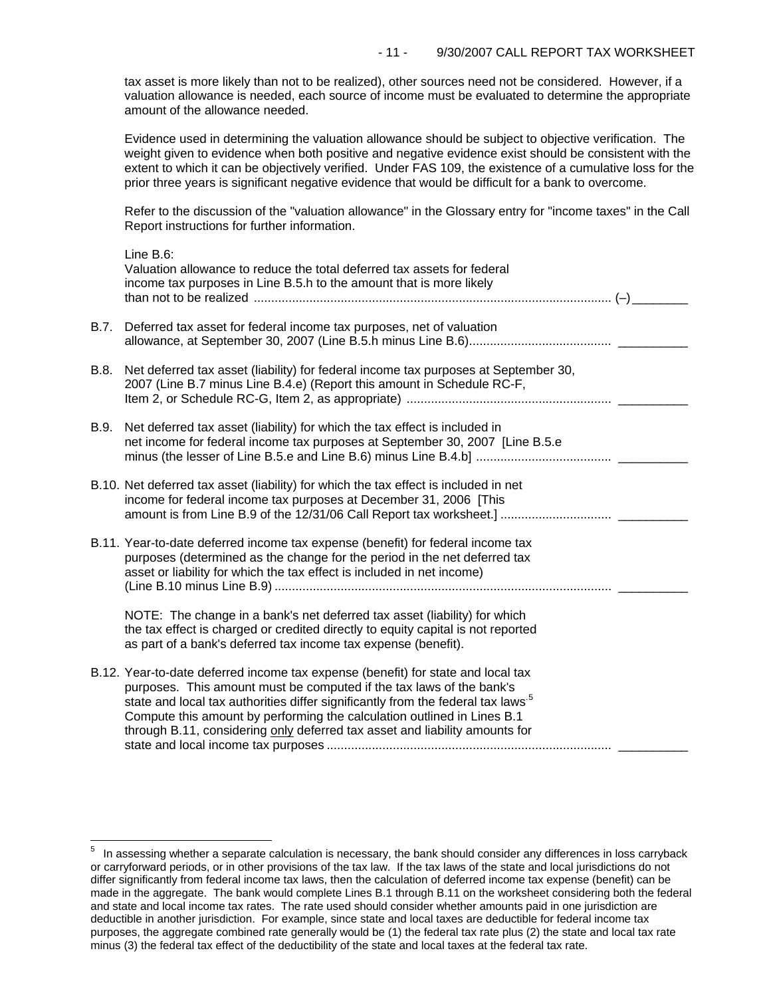tax asset is more likely than not to be realized), other sources need not be considered. However, if a valuation allowance is needed, each source of income must be evaluated to determine the appropriate amount of the allowance needed.

Evidence used in determining the valuation allowance should be subject to objective verification. The weight given to evidence when both positive and negative evidence exist should be consistent with the extent to which it can be objectively verified. Under FAS 109, the existence of a cumulative loss for the prior three years is significant negative evidence that would be difficult for a bank to overcome.

Refer to the discussion of the "valuation allowance" in the Glossary entry for "income taxes" in the Call Report instructions for further information.

|      | Line $B.6$ :<br>Valuation allowance to reduce the total deferred tax assets for federal<br>income tax purposes in Line B.5.h to the amount that is more likely                                                                                                                                                                                                                                                    |  |
|------|-------------------------------------------------------------------------------------------------------------------------------------------------------------------------------------------------------------------------------------------------------------------------------------------------------------------------------------------------------------------------------------------------------------------|--|
| B.7. | Deferred tax asset for federal income tax purposes, net of valuation                                                                                                                                                                                                                                                                                                                                              |  |
| B.8. | Net deferred tax asset (liability) for federal income tax purposes at September 30,<br>2007 (Line B.7 minus Line B.4.e) (Report this amount in Schedule RC-F,                                                                                                                                                                                                                                                     |  |
| B.9. | Net deferred tax asset (liability) for which the tax effect is included in<br>net income for federal income tax purposes at September 30, 2007 [Line B.5.e                                                                                                                                                                                                                                                        |  |
|      | B.10. Net deferred tax asset (liability) for which the tax effect is included in net<br>income for federal income tax purposes at December 31, 2006 [This                                                                                                                                                                                                                                                         |  |
|      | B.11. Year-to-date deferred income tax expense (benefit) for federal income tax<br>purposes (determined as the change for the period in the net deferred tax<br>asset or liability for which the tax effect is included in net income)                                                                                                                                                                            |  |
|      | NOTE: The change in a bank's net deferred tax asset (liability) for which<br>the tax effect is charged or credited directly to equity capital is not reported<br>as part of a bank's deferred tax income tax expense (benefit).                                                                                                                                                                                   |  |
|      | B.12. Year-to-date deferred income tax expense (benefit) for state and local tax<br>purposes. This amount must be computed if the tax laws of the bank's<br>state and local tax authorities differ significantly from the federal tax laws <sup>5</sup><br>Compute this amount by performing the calculation outlined in Lines B.1<br>through B.11, considering only deferred tax asset and liability amounts for |  |

i<br>L

<span id="page-10-0"></span> $5$  In assessing whether a separate calculation is necessary, the bank should consider any differences in loss carryback or carryforward periods, or in other provisions of the tax law. If the tax laws of the state and local jurisdictions do not differ significantly from federal income tax laws, then the calculation of deferred income tax expense (benefit) can be made in the aggregate. The bank would complete Lines B.1 through B.11 on the worksheet considering both the federal and state and local income tax rates. The rate used should consider whether amounts paid in one jurisdiction are deductible in another jurisdiction. For example, since state and local taxes are deductible for federal income tax purposes, the aggregate combined rate generally would be (1) the federal tax rate plus (2) the state and local tax rate minus (3) the federal tax effect of the deductibility of the state and local taxes at the federal tax rate.